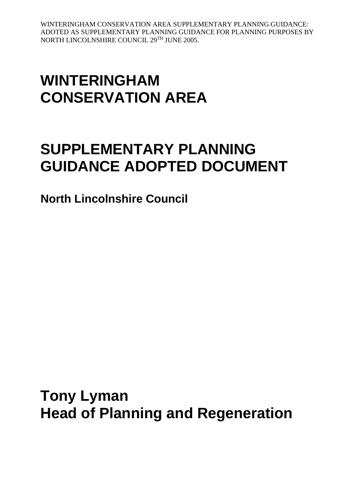# **WINTERINGHAM CONSERVATION AREA**

# **SUPPLEMENTARY PLANNING GUIDANCE ADOPTED DOCUMENT**

**North Lincolnshire Council**

**Tony Lyman Head of Planning and Regeneration**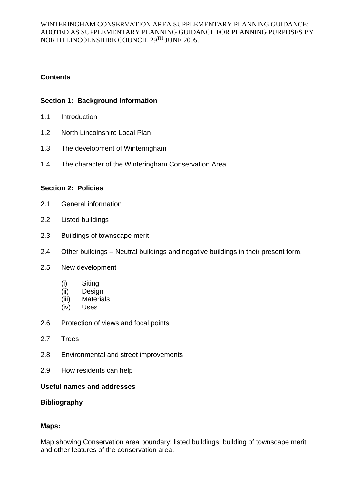# **Contents**

## **Section 1: Background Information**

- 1.1 Introduction
- 1.2 North Lincolnshire Local Plan
- 1.3 The development of Winteringham
- 1.4 The character of the Winteringham Conservation Area

## **Section 2: Policies**

- 2.1 General information
- 2.2 Listed buildings
- 2.3 Buildings of townscape merit
- 2.4 Other buildings Neutral buildings and negative buildings in their present form.
- 2.5 New development
	- (i) Siting
	- (ii) Design
	- (iii) Materials
	- (iv) Uses
- 2.6 Protection of views and focal points
- 2.7 Trees
- 2.8 Environmental and street improvements
- 2.9 How residents can help

## **Useful names and addresses**

## **Bibliography**

## **Maps:**

Map showing Conservation area boundary; listed buildings; building of townscape merit and other features of the conservation area.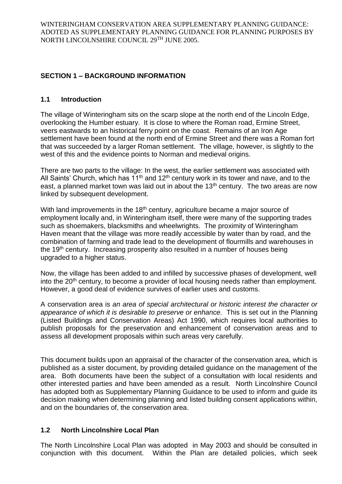# **SECTION 1 – BACKGROUND INFORMATION**

# **1.1 Introduction**

The village of Winteringham sits on the scarp slope at the north end of the Lincoln Edge, overlooking the Humber estuary. It is close to where the Roman road, Ermine Street, veers eastwards to an historical ferry point on the coast. Remains of an Iron Age settlement have been found at the north end of Ermine Street and there was a Roman fort that was succeeded by a larger Roman settlement. The village, however, is slightly to the west of this and the evidence points to Norman and medieval origins.

There are two parts to the village: In the west, the earlier settlement was associated with All Saints' Church, which has  $11<sup>th</sup>$  and  $12<sup>th</sup>$  century work in its tower and nave, and to the east, a planned market town was laid out in about the 13<sup>th</sup> century. The two areas are now linked by subsequent development.

With land improvements in the 18<sup>th</sup> century, agriculture became a major source of employment locally and, in Winteringham itself, there were many of the supporting trades such as shoemakers, blacksmiths and wheelwrights. The proximity of Winteringham Haven meant that the village was more readily accessible by water than by road, and the combination of farming and trade lead to the development of flourmills and warehouses in the 19<sup>th</sup> century. Increasing prosperity also resulted in a number of houses being upgraded to a higher status.

Now, the village has been added to and infilled by successive phases of development, well into the 20<sup>th</sup> century, to become a provider of local housing needs rather than employment. However, a good deal of evidence survives of earlier uses and customs.

A conservation area is *an area of special architectural or historic interest the character or appearance of which it is desirable to preserve or enhance.* This is set out in the Planning (Listed Buildings and Conservation Areas) Act 1990, which requires local authorities to publish proposals for the preservation and enhancement of conservation areas and to assess all development proposals within such areas very carefully.

This document builds upon an appraisal of the character of the conservation area, which is published as a sister document, by providing detailed guidance on the management of the area. Both documents have been the subject of a consultation with local residents and other interested parties and have been amended as a result. North Lincolnshire Council has adopted both as Supplementary Planning Guidance to be used to inform and guide its decision making when determining planning and listed building consent applications within, and on the boundaries of, the conservation area.

# **1.2 North Lincolnshire Local Plan**

The North Lincolnshire Local Plan was adopted in May 2003 and should be consulted in conjunction with this document. Within the Plan are detailed policies, which seek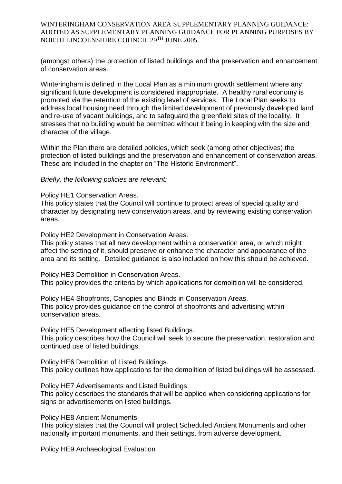(amongst others) the protection of listed buildings and the preservation and enhancement of conservation areas.

Winteringham is defined in the Local Plan as a minimum growth settlement where any significant future development is considered inappropriate. A healthy rural economy is promoted via the retention of the existing level of services. The Local Plan seeks to address local housing need through the limited development of previously developed land and re-use of vacant buildings, and to safeguard the greenfield sites of the locality. It stresses that no building would be permitted without it being in keeping with the size and character of the village.

Within the Plan there are detailed policies, which seek (among other objectives) the protection of listed buildings and the preservation and enhancement of conservation areas. These are included in the chapter on "The Historic Environment".

#### *Briefly, the following policies are relevant:*

Policy HE1 Conservation Areas.

This policy states that the Council will continue to protect areas of special quality and character by designating new conservation areas, and by reviewing existing conservation areas.

Policy HE2 Development in Conservation Areas.

This policy states that all new development within a conservation area, or which might affect the setting of it, should preserve or enhance the character and appearance of the area and its setting. Detailed guidance is also included on how this should be achieved.

Policy HE3 Demolition in Conservation Areas. This policy provides the criteria by which applications for demolition will be considered.

Policy HE4 Shopfronts, Canopies and Blinds in Conservation Areas. This policy provides guidance on the control of shopfronts and advertising within conservation areas.

Policy HE5 Development affecting listed Buildings. This policy describes how the Council will seek to secure the preservation, restoration and continued use of listed buildings.

Policy HE6 Demolition of Listed Buildings. This policy outlines how applications for the demolition of listed buildings will be assessed.

Policy HE7 Advertisements and Listed Buildings. This policy describes the standards that will be applied when considering applications for

signs or advertisements on listed buildings.

Policy HE8 Ancient Monuments

This policy states that the Council will protect Scheduled Ancient Monuments and other nationally important monuments, and their settings, from adverse development.

Policy HE9 Archaeological Evaluation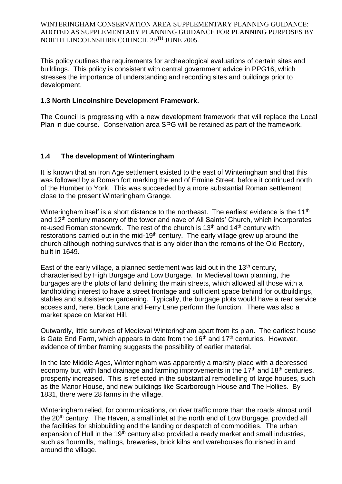This policy outlines the requirements for archaeological evaluations of certain sites and buildings. This policy is consistent with central government advice in PPG16, which stresses the importance of understanding and recording sites and buildings prior to development.

## **1.3 North Lincolnshire Development Framework.**

The Council is progressing with a new development framework that will replace the Local Plan in due course. Conservation area SPG will be retained as part of the framework.

## **1.4 The development of Winteringham**

It is known that an Iron Age settlement existed to the east of Winteringham and that this was followed by a Roman fort marking the end of Ermine Street, before it continued north of the Humber to York. This was succeeded by a more substantial Roman settlement close to the present Winteringham Grange.

Winteringham itself is a short distance to the northeast. The earliest evidence is the 11<sup>th</sup> and 12<sup>th</sup> century masonry of the tower and nave of All Saints' Church, which incorporates re-used Roman stonework. The rest of the church is  $13<sup>th</sup>$  and  $14<sup>th</sup>$  century with restorations carried out in the mid-19<sup>th</sup> century. The early village grew up around the church although nothing survives that is any older than the remains of the Old Rectory, built in 1649.

East of the early village, a planned settlement was laid out in the  $13<sup>th</sup>$  century, characterised by High Burgage and Low Burgage. In Medieval town planning, the burgages are the plots of land defining the main streets, which allowed all those with a landholding interest to have a street frontage and sufficient space behind for outbuildings, stables and subsistence gardening. Typically, the burgage plots would have a rear service access and, here, Back Lane and Ferry Lane perform the function. There was also a market space on Market Hill.

Outwardly, little survives of Medieval Winteringham apart from its plan. The earliest house is Gate End Farm, which appears to date from the  $16<sup>th</sup>$  and  $17<sup>th</sup>$  centuries. However, evidence of timber framing suggests the possibility of earlier material.

In the late Middle Ages, Winteringham was apparently a marshy place with a depressed economy but, with land drainage and farming improvements in the  $17<sup>th</sup>$  and  $18<sup>th</sup>$  centuries, prosperity increased. This is reflected in the substantial remodelling of large houses, such as the Manor House, and new buildings like Scarborough House and The Hollies. By 1831, there were 28 farms in the village.

Winteringham relied, for communications, on river traffic more than the roads almost until the 20<sup>th</sup> century. The Haven, a small inlet at the north end of Low Burgage, provided all the facilities for shipbuilding and the landing or despatch of commodities. The urban expansion of Hull in the 19<sup>th</sup> century also provided a ready market and small industries, such as flourmills, maltings, breweries, brick kilns and warehouses flourished in and around the village.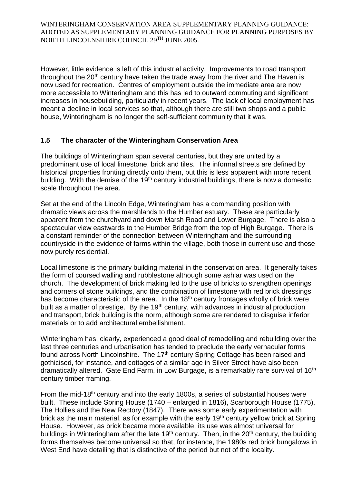However, little evidence is left of this industrial activity. Improvements to road transport throughout the  $20<sup>th</sup>$  century have taken the trade away from the river and The Haven is now used for recreation. Centres of employment outside the immediate area are now more accessible to Winteringham and this has led to outward commuting and significant increases in housebuilding, particularly in recent years. The lack of local employment has meant a decline in local services so that, although there are still two shops and a public house, Winteringham is no longer the self-sufficient community that it was.

# **1.5 The character of the Winteringham Conservation Area**

The buildings of Winteringham span several centuries, but they are united by a predominant use of local limestone, brick and tiles. The informal streets are defined by historical properties fronting directly onto them, but this is less apparent with more recent building. With the demise of the 19<sup>th</sup> century industrial buildings, there is now a domestic scale throughout the area.

Set at the end of the Lincoln Edge, Winteringham has a commanding position with dramatic views across the marshlands to the Humber estuary. These are particularly apparent from the churchyard and down Marsh Road and Lower Burgage. There is also a spectacular view eastwards to the Humber Bridge from the top of High Burgage. There is a constant reminder of the connection between Winteringham and the surrounding countryside in the evidence of farms within the village, both those in current use and those now purely residential.

Local limestone is the primary building material in the conservation area. It generally takes the form of coursed walling and rubblestone although some ashlar was used on the church. The development of brick making led to the use of bricks to strengthen openings and corners of stone buildings, and the combination of limestone with red brick dressings has become characteristic of the area. In the 18<sup>th</sup> century frontages wholly of brick were built as a matter of prestige. By the 19<sup>th</sup> century, with advances in industrial production and transport, brick building is the norm, although some are rendered to disguise inferior materials or to add architectural embellishment.

Winteringham has, clearly, experienced a good deal of remodelling and rebuilding over the last three centuries and urbanisation has tended to preclude the early vernacular forms found across North Lincolnshire. The 17th century Spring Cottage has been raised and gothicised, for instance, and cottages of a similar age in Silver Street have also been dramatically altered. Gate End Farm, in Low Burgage, is a remarkably rare survival of 16th century timber framing.

From the mid-18<sup>th</sup> century and into the early 1800s, a series of substantial houses were built. These include Spring House (1740 – enlarged in 1816), Scarborough House (1775), The Hollies and the New Rectory (1847). There was some early experimentation with brick as the main material, as for example with the early 19<sup>th</sup> century yellow brick at Spring House. However, as brick became more available, its use was almost universal for buildings in Winteringham after the late 19<sup>th</sup> century. Then, in the 20<sup>th</sup> century, the building forms themselves become universal so that, for instance, the 1980s red brick bungalows in West End have detailing that is distinctive of the period but not of the locality.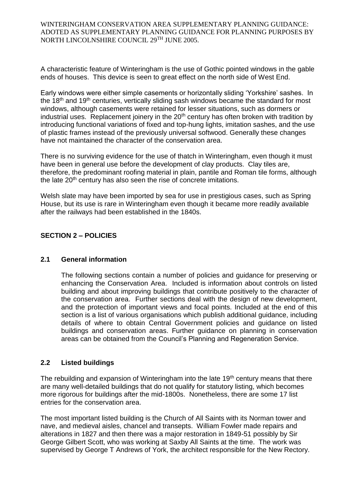A characteristic feature of Winteringham is the use of Gothic pointed windows in the gable ends of houses. This device is seen to great effect on the north side of West End.

Early windows were either simple casements or horizontally sliding 'Yorkshire' sashes. In the 18<sup>th</sup> and 19<sup>th</sup> centuries, vertically sliding sash windows became the standard for most windows, although casements were retained for lesser situations, such as dormers or industrial uses. Replacement joinery in the  $20<sup>th</sup>$  century has often broken with tradition by introducing functional variations of fixed and top-hung lights, imitation sashes, and the use of plastic frames instead of the previously universal softwood. Generally these changes have not maintained the character of the conservation area.

There is no surviving evidence for the use of thatch in Winteringham, even though it must have been in general use before the development of clay products. Clay tiles are, therefore, the predominant roofing material in plain, pantile and Roman tile forms, although the late 20<sup>th</sup> century has also seen the rise of concrete imitations.

Welsh slate may have been imported by sea for use in prestigious cases, such as Spring House, but its use is rare in Winteringham even though it became more readily available after the railways had been established in the 1840s.

# **SECTION 2 – POLICIES**

## **2.1 General information**

The following sections contain a number of policies and guidance for preserving or enhancing the Conservation Area. Included is information about controls on listed building and about improving buildings that contribute positively to the character of the conservation area. Further sections deal with the design of new development, and the protection of important views and focal points. Included at the end of this section is a list of various organisations which publish additional guidance, including details of where to obtain Central Government policies and guidance on listed buildings and conservation areas. Further guidance on planning in conservation areas can be obtained from the Council's Planning and Regeneration Service.

## **2.2 Listed buildings**

The rebuilding and expansion of Winteringham into the late 19<sup>th</sup> century means that there are many well-detailed buildings that do not qualify for statutory listing, which becomes more rigorous for buildings after the mid-1800s. Nonetheless, there are some 17 list entries for the conservation area.

The most important listed building is the Church of All Saints with its Norman tower and nave, and medieval aisles, chancel and transepts. William Fowler made repairs and alterations in 1827 and then there was a major restoration in 1849-51 possibly by Sir George Gilbert Scott, who was working at Saxby All Saints at the time. The work was supervised by George T Andrews of York, the architect responsible for the New Rectory.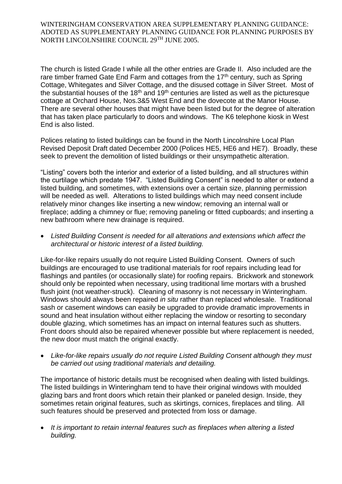The church is listed Grade I while all the other entries are Grade II. Also included are the rare timber framed Gate End Farm and cottages from the  $17<sup>th</sup>$  century, such as Spring Cottage, Whitegates and Silver Cottage, and the disused cottage in Silver Street. Most of the substantial houses of the 18<sup>th</sup> and 19<sup>th</sup> centuries are listed as well as the picturesque cottage at Orchard House, Nos.3&5 West End and the dovecote at the Manor House. There are several other houses that might have been listed but for the degree of alteration that has taken place particularly to doors and windows. The K6 telephone kiosk in West End is also listed.

Polices relating to listed buildings can be found in the North Lincolnshire Local Plan Revised Deposit Draft dated December 2000 (Polices HE5, HE6 and HE7). Broadly, these seek to prevent the demolition of listed buildings or their unsympathetic alteration.

"Listing" covers both the interior and exterior of a listed building, and all structures within the curtilage which predate 1947. "Listed Building Consent" is needed to alter or extend a listed building, and sometimes, with extensions over a certain size, planning permission will be needed as well. Alterations to listed buildings which may need consent include relatively minor changes like inserting a new window; removing an internal wall or fireplace; adding a chimney or flue; removing paneling or fitted cupboards; and inserting a new bathroom where new drainage is required.

 *Listed Building Consent is needed for all alterations and extensions which affect the architectural or historic interest of a listed building.*

Like-for-like repairs usually do not require Listed Building Consent. Owners of such buildings are encouraged to use traditional materials for roof repairs including lead for flashings and pantiles (or occasionally slate) for roofing repairs. Brickwork and stonework should only be repointed when necessary, using traditional lime mortars with a brushed flush joint (not weather-struck). Cleaning of masonry is not necessary in Winteringham. Windows should always been repaired *in situ* rather than replaced wholesale. Traditional sash or casement windows can easily be upgraded to provide dramatic improvements in sound and heat insulation without either replacing the window or resorting to secondary double glazing, which sometimes has an impact on internal features such as shutters. Front doors should also be repaired whenever possible but where replacement is needed, the new door must match the original exactly.

 *Like-for-like repairs usually do not require Listed Building Consent although they must be carried out using traditional materials and detailing.*

The importance of historic details must be recognised when dealing with listed buildings. The listed buildings in Winteringham tend to have their original windows with moulded glazing bars and front doors which retain their planked or paneled design. Inside, they sometimes retain original features, such as skirtings, cornices, fireplaces and tiling. All such features should be preserved and protected from loss or damage.

 *It is important to retain internal features such as fireplaces when altering a listed building.*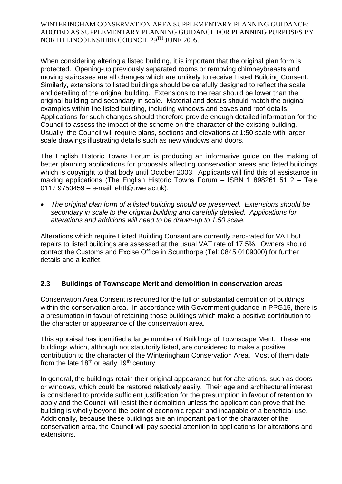When considering altering a listed building, it is important that the original plan form is protected. Opening-up previously separated rooms or removing chimneybreasts and moving staircases are all changes which are unlikely to receive Listed Building Consent. Similarly, extensions to listed buildings should be carefully designed to reflect the scale and detailing of the original building. Extensions to the rear should be lower than the original building and secondary in scale. Material and details should match the original examples within the listed building, including windows and eaves and roof details. Applications for such changes should therefore provide enough detailed information for the Council to assess the impact of the scheme on the character of the existing building. Usually, the Council will require plans, sections and elevations at 1:50 scale with larger scale drawings illustrating details such as new windows and doors.

The English Historic Towns Forum is producing an informative guide on the making of better planning applications for proposals affecting conservation areas and listed buildings which is copyright to that body until October 2003. Applicants will find this of assistance in making applications (The English Historic Towns Forum – ISBN 1 898261 51 2 – Tele 0117 9750459 – e-mail: ehtf@uwe.ac.uk).

 *The original plan form of a listed building should be preserved. Extensions should be secondary in scale to the original building and carefully detailed. Applications for alterations and additions will need to be drawn-up to 1:50 scale.* 

Alterations which require Listed Building Consent are currently zero-rated for VAT but repairs to listed buildings are assessed at the usual VAT rate of 17.5%. Owners should contact the Customs and Excise Office in Scunthorpe (Tel: 0845 0109000) for further details and a leaflet.

# **2.3 Buildings of Townscape Merit and demolition in conservation areas**

Conservation Area Consent is required for the full or substantial demolition of buildings within the conservation area. In accordance with Government guidance in PPG15, there is a presumption in favour of retaining those buildings which make a positive contribution to the character or appearance of the conservation area.

This appraisal has identified a large number of Buildings of Townscape Merit. These are buildings which, although not statutorily listed, are considered to make a positive contribution to the character of the Winteringham Conservation Area. Most of them date from the late  $18<sup>th</sup>$  or early  $19<sup>th</sup>$  century.

In general, the buildings retain their original appearance but for alterations, such as doors or windows, which could be restored relatively easily. Their age and architectural interest is considered to provide sufficient justification for the presumption in favour of retention to apply and the Council will resist their demolition unless the applicant can prove that the building is wholly beyond the point of economic repair and incapable of a beneficial use. Additionally, because these buildings are an important part of the character of the conservation area, the Council will pay special attention to applications for alterations and extensions.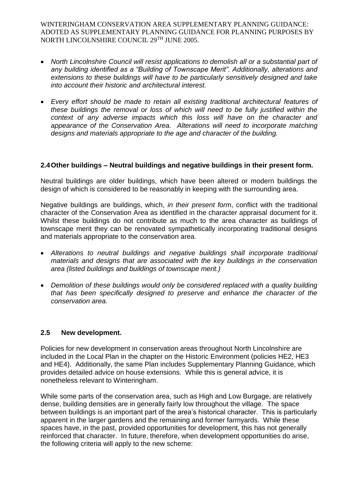- *North Lincolnshire Council will resist applications to demolish all or a substantial part of any building identified as a "Building of Townscape Merit". Additionally, alterations and extensions to these buildings will have to be particularly sensitively designed and take into account their historic and architectural interest.*
- *Every effort should be made to retain all existing traditional architectural features of these buildings the removal or loss of which will need to be fully justified within the context of any adverse impacts which this loss will have on the character and appearance of the Conservation Area. Alterations will need to incorporate matching designs and materials appropriate to the age and character of the building.*

## **2.4Other buildings – Neutral buildings and negative buildings in their present form.**

Neutral buildings are older buildings, which have been altered or modern buildings the design of which is considered to be reasonably in keeping with the surrounding area.

Negative buildings are buildings, which, *in their present form*, conflict with the traditional character of the Conservation Area as identified in the character appraisal document for it. Whilst these buildings do not contribute as much to the area character as buildings of townscape merit they can be renovated sympathetically incorporating traditional designs and materials appropriate to the conservation area.

- *Alterations to neutral buildings and negative buildings shall incorporate traditional materials and designs that are associated with the key buildings in the conservation area (listed buildings and buildings of townscape merit.)*
- *Demolition of these buildings would only be considered replaced with a quality building that has been specifically designed to preserve and enhance the character of the conservation area.*

## **2.5 New development.**

Policies for new development in conservation areas throughout North Lincolnshire are included in the Local Plan in the chapter on the Historic Environment (policies HE2, HE3 and HE4). Additionally, the same Plan includes Supplementary Planning Guidance, which provides detailed advice on house extensions. While this is general advice, it is nonetheless relevant to Winteringham.

While some parts of the conservation area, such as High and Low Burgage, are relatively dense, building densities are in generally fairly low throughout the village. The space between buildings is an important part of the area's historical character. This is particularly apparent in the larger gardens and the remaining and former farmyards. While these spaces have, in the past, provided opportunities for development, this has not generally reinforced that character. In future, therefore, when development opportunities do arise, the following criteria will apply to the new scheme: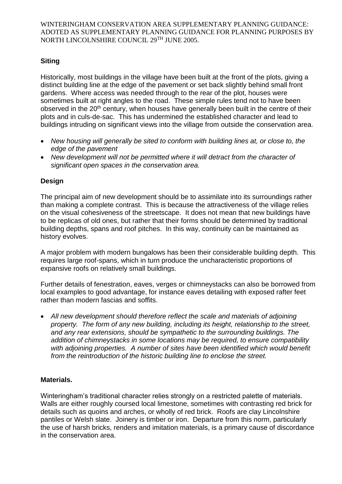# **Siting**

Historically, most buildings in the village have been built at the front of the plots, giving a distinct building line at the edge of the pavement or set back slightly behind small front gardens. Where access was needed through to the rear of the plot, houses were sometimes built at right angles to the road. These simple rules tend not to have been observed in the 20<sup>th</sup> century, when houses have generally been built in the centre of their plots and in culs-de-sac. This has undermined the established character and lead to buildings intruding on significant views into the village from outside the conservation area.

- *New housing will generally be sited to conform with building lines at, or close to, the edge of the pavement*
- *New development will not be permitted where it will detract from the character of significant open spaces in the conservation area.*

# **Design**

The principal aim of new development should be to assimilate into its surroundings rather than making a complete contrast. This is because the attractiveness of the village relies on the visual cohesiveness of the streetscape. It does not mean that new buildings have to be replicas of old ones, but rather that their forms should be determined by traditional building depths, spans and roof pitches. In this way, continuity can be maintained as history evolves.

A major problem with modern bungalows has been their considerable building depth. This requires large roof-spans, which in turn produce the uncharacteristic proportions of expansive roofs on relatively small buildings.

Further details of fenestration, eaves, verges or chimneystacks can also be borrowed from local examples to good advantage, for instance eaves detailing with exposed rafter feet rather than modern fascias and soffits.

 *All new development should therefore reflect the scale and materials of adjoining property. The form of any new building, including its height, relationship to the street, and any rear extensions, should be sympathetic to the surrounding buildings. The addition of chimneystacks in some locations may be required, to ensure compatibility with adjoining properties. A number of sites have been identified which would benefit from the reintroduction of the historic building line to enclose the street.*

# **Materials.**

Winteringham's traditional character relies strongly on a restricted palette of materials. Walls are either roughly coursed local limestone, sometimes with contrasting red brick for details such as quoins and arches, or wholly of red brick. Roofs are clay Lincolnshire pantiles or Welsh slate. Joinery is timber or iron. Departure from this norm, particularly the use of harsh bricks, renders and imitation materials, is a primary cause of discordance in the conservation area.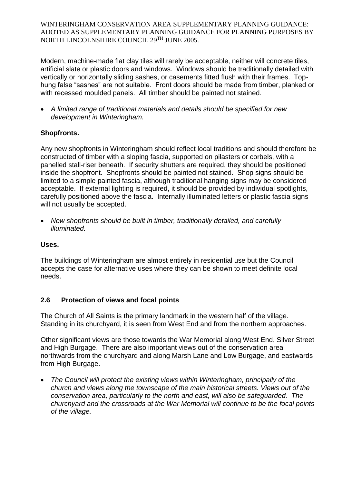Modern, machine-made flat clay tiles will rarely be acceptable, neither will concrete tiles, artificial slate or plastic doors and windows. Windows should be traditionally detailed with vertically or horizontally sliding sashes, or casements fitted flush with their frames. Tophung false "sashes" are not suitable. Front doors should be made from timber, planked or with recessed moulded panels. All timber should be painted not stained.

 *A limited range of traditional materials and details should be specified for new development in Winteringham.*

# **Shopfronts.**

Any new shopfronts in Winteringham should reflect local traditions and should therefore be constructed of timber with a sloping fascia, supported on pilasters or corbels, with a panelled stall-riser beneath. If security shutters are required, they should be positioned inside the shopfront. Shopfronts should be painted not stained. Shop signs should be limited to a simple painted fascia, although traditional hanging signs may be considered acceptable. If external lighting is required, it should be provided by individual spotlights, carefully positioned above the fascia. Internally illuminated letters or plastic fascia signs will not usually be accepted.

 *New shopfronts should be built in timber, traditionally detailed, and carefully illuminated.*

# **Uses.**

The buildings of Winteringham are almost entirely in residential use but the Council accepts the case for alternative uses where they can be shown to meet definite local needs.

# **2.6 Protection of views and focal points**

The Church of All Saints is the primary landmark in the western half of the village. Standing in its churchyard, it is seen from West End and from the northern approaches.

Other significant views are those towards the War Memorial along West End, Silver Street and High Burgage. There are also important views out of the conservation area northwards from the churchyard and along Marsh Lane and Low Burgage, and eastwards from High Burgage.

 *The Council will protect the existing views within Winteringham, principally of the church and views along the townscape of the main historical streets. Views out of the conservation area, particularly to the north and east, will also be safeguarded. The churchyard and the crossroads at the War Memorial will continue to be the focal points of the village.*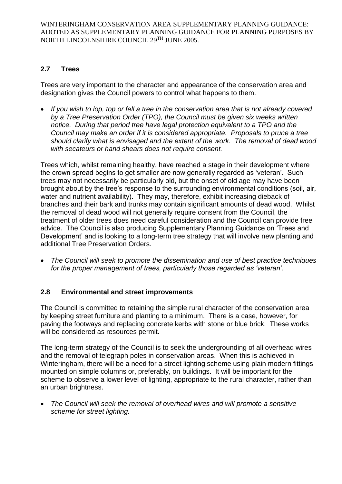# **2.7 Trees**

Trees are very important to the character and appearance of the conservation area and designation gives the Council powers to control what happens to them.

 *If you wish to lop, top or fell a tree in the conservation area that is not already covered by a Tree Preservation Order (TPO), the Council must be given six weeks written notice. During that period tree have legal protection equivalent to a TPO and the Council may make an order if it is considered appropriate. Proposals to prune a tree should clarify what is envisaged and the extent of the work. The removal of dead wood with secateurs or hand shears does not require consent.*

Trees which, whilst remaining healthy, have reached a stage in their development where the crown spread begins to get smaller are now generally regarded as 'veteran'. Such trees may not necessarily be particularly old, but the onset of old age may have been brought about by the tree's response to the surrounding environmental conditions (soil, air, water and nutrient availability). They may, therefore, exhibit increasing dieback of branches and their bark and trunks may contain significant amounts of dead wood. Whilst the removal of dead wood will not generally require consent from the Council, the treatment of older trees does need careful consideration and the Council can provide free advice. The Council is also producing Supplementary Planning Guidance on 'Trees and Development' and is looking to a long-term tree strategy that will involve new planting and additional Tree Preservation Orders.

 *The Council will seek to promote the dissemination and use of best practice techniques for the proper management of trees, particularly those regarded as 'veteran'.*

# **2.8 Environmental and street improvements**

The Council is committed to retaining the simple rural character of the conservation area by keeping street furniture and planting to a minimum. There is a case, however, for paving the footways and replacing concrete kerbs with stone or blue brick. These works will be considered as resources permit.

The long-term strategy of the Council is to seek the undergrounding of all overhead wires and the removal of telegraph poles in conservation areas. When this is achieved in Winteringham, there will be a need for a street lighting scheme using plain modern fittings mounted on simple columns or, preferably, on buildings. It will be important for the scheme to observe a lower level of lighting, appropriate to the rural character, rather than an urban brightness.

 *The Council will seek the removal of overhead wires and will promote a sensitive scheme for street lighting.*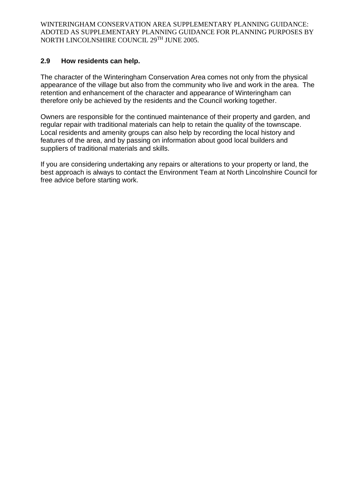## **2.9 How residents can help.**

The character of the Winteringham Conservation Area comes not only from the physical appearance of the village but also from the community who live and work in the area. The retention and enhancement of the character and appearance of Winteringham can therefore only be achieved by the residents and the Council working together.

Owners are responsible for the continued maintenance of their property and garden, and regular repair with traditional materials can help to retain the quality of the townscape. Local residents and amenity groups can also help by recording the local history and features of the area, and by passing on information about good local builders and suppliers of traditional materials and skills.

If you are considering undertaking any repairs or alterations to your property or land, the best approach is always to contact the Environment Team at North Lincolnshire Council for free advice before starting work.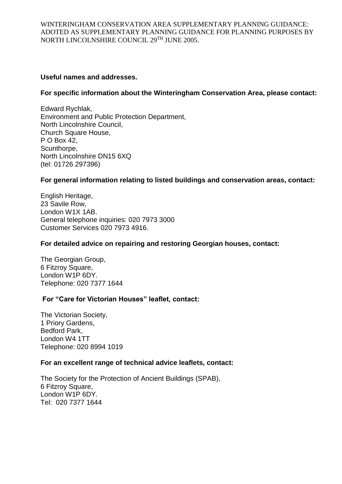### **Useful names and addresses.**

### **For specific information about the Winteringham Conservation Area, please contact:**

Edward Rychlak, Environment and Public Protection Department, North Lincolnshire Council, Church Square House, P O Box 42, Scunthorpe. North Lincolnshire DN15 6XQ (tel: 01726 297396)

#### **For general information relating to listed buildings and conservation areas, contact:**

English Heritage, 23 Savile Row, London W1X 1AB. General telephone inquiries: 020 7973 3000 Customer Services 020 7973 4916.

#### **For detailed advice on repairing and restoring Georgian houses, contact:**

The Georgian Group, 6 Fitzroy Square, London W1P 6DY. Telephone: 020 7377 1644

## **For "Care for Victorian Houses" leaflet, contact:**

The Victorian Society, 1 Priory Gardens, Bedford Park, London W4 1TT Telephone: 020 8994 1019

#### **For an excellent range of technical advice leaflets, contact:**

The Society for the Protection of Ancient Buildings (SPAB), 6 Fitzroy Square, London W1P 6DY. Tel: 020 7377 1644